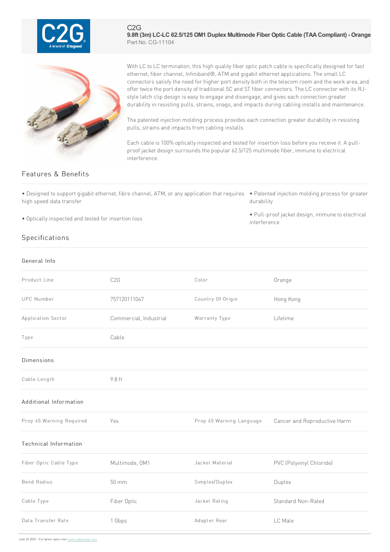

C2G **9.8ft (3m) LC-LC 62.5/125 OM1 Duplex Multimode Fiber Optic Cable (TAACompliant) - Orange** Part No. CG-11104



With LC to LC termination, this high quality fiber optic patch cable is specifically designed for fast ethernet, fiber channel, Infiniband®, ATM and gigabit ethernet applications. The small LC connectors satisfy the need for higher port density both in the telecom room and the work area, and offer twice the port density of traditional SC and ST fiber connectors. The LC connector with its RJstyle latch clip design is easy to engage and disengage, and gives each connection greater durability in resisting pulls, strains, snags, and impacts during cabling installs and maintenance.

The patented injection molding process provides each connection greater durability in resisting pulls, strains and impacts from cabling installs.

Each cable is 100% optically inspected and tested for insertion loss before you receive it. A pullproof jacket design surrounds the popular 62.5/125 multimode fiber, immune to electrical interference.

## Features & Benefits

• Designed to support gigabit ethernet, fibre channel, ATM, or any application that requires • Patented injection molding process for greater high speed data transfer

• Optically inspected and tested for insertion loss

## Specifications

General Info

## durability

• Pull-proof jacket design, immune to electrical interference

| Product Line                 | C <sub>2</sub> G       | Color                    | Orange                       |
|------------------------------|------------------------|--------------------------|------------------------------|
| <b>UPC Number</b>            | 757120111047           | Country Of Origin        | Hong Kong                    |
| Application Sector           | Commercial, Industrial | Warranty Type            | Lifetime                     |
| Type                         | Cable                  |                          |                              |
| <b>Dimensions</b>            |                        |                          |                              |
| Cable Length                 | 9.8 ft                 |                          |                              |
| Additional Information       |                        |                          |                              |
| Prop 65 Warning Required     | Yes                    | Prop 65 Warning Language | Cancer and Reproductive Harm |
| <b>Technical Information</b> |                        |                          |                              |
| Fiber Optic Cable Type       | Multimode, OM1         | Jacket Material          | PVC (Polyvinyl Chloride)     |
| <b>Bend Radius</b>           | 50 mm                  | Simplex/Duplex           | Duplex                       |
| Cable Type                   | Fiber Optic            | Jacket Rating            | <b>Standard Non-Rated</b>    |
| Data Transfer Rate           | 1 Gbps                 | Adapter Rear             | LC Male                      |
|                              |                        |                          |                              |

June 25 2022 - For latest specs visit www.cablestogo.com